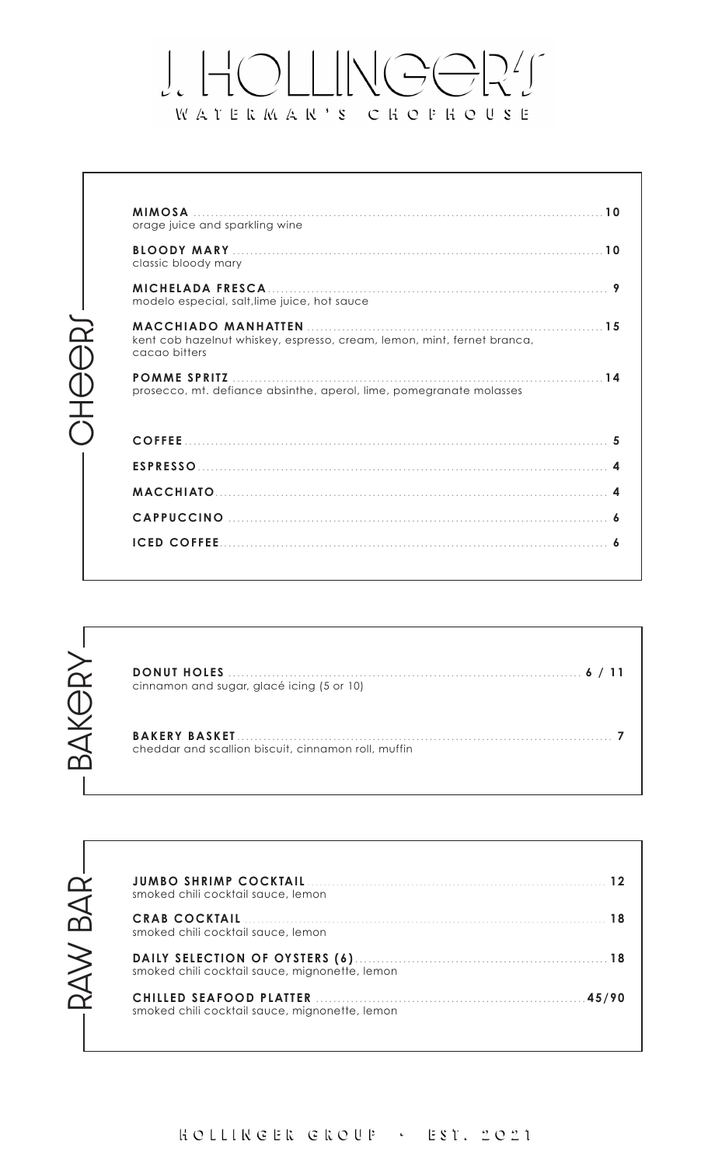## $\frac{1}{\sqrt{2}}\left|2\right|$  $\int$  $\overline{\phantom{a}}$ WATERMAR'S CHOPHOUSE

| orage juice and sparkling wine<br>classic bloody mary<br>MICHELADA FRESCA<br>9                                                                                                                                                  |
|---------------------------------------------------------------------------------------------------------------------------------------------------------------------------------------------------------------------------------|
| modelo especial, salt, lime juice, hot sauce<br>kent cob hazelnut whiskey, espresso, cream, lemon, mint, fernet branca,<br>cacao bitters<br>POMME SPRITZ<br>prosecco, mt. defiance absinthe, aperol, lime, pomegranate molasses |
|                                                                                                                                                                                                                                 |
| MACCHIATO                                                                                                                                                                                                                       |

| cinnamon and sugar, glacé icing (5 or 10)                                   |
|-----------------------------------------------------------------------------|
| <b>BAKERY BASKET</b><br>cheddar and scallion biscuit, cinnamon roll, muffin |
|                                                                             |

|              | cinnamon and sugar, glacé icing (5 or 10)                                |  |
|--------------|--------------------------------------------------------------------------|--|
| <b>BAKEI</b> | cheddar and scallion biscuit, cinnamon roll, muffin                      |  |
|              |                                                                          |  |
|              | <b>JUMBO SHRIMP COCKTAIL</b><br>12<br>smoked chili cocktail sauce, lemon |  |
|              | 18<br>smoked chili cocktail sauce, lemon                                 |  |
| RAW BAR      | smoked chili cocktail sauce, mignonette, lemon                           |  |
|              | 45/90<br>smoked chili cocktail sauce, mignonette, lemon                  |  |